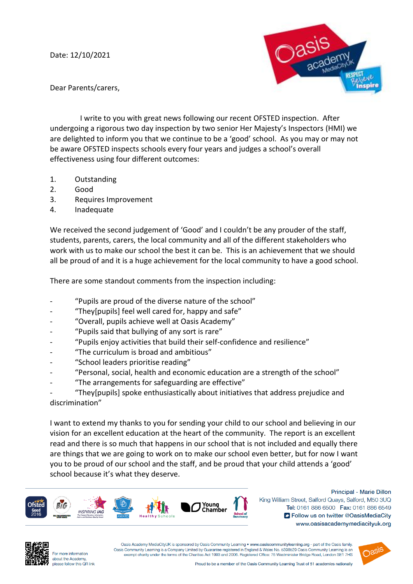Date: 12/10/2021



Dear Parents/carers,

 I write to you with great news following our recent OFSTED inspection. After undergoing a rigorous two day inspection by two senior Her Majesty's Inspectors (HMI) we are delighted to inform you that we continue to be a 'good' school. As you may or may not be aware OFSTED inspects schools every four years and judges a school's overall effectiveness using four different outcomes:

- 1. Outstanding
- 2. Good
- 3. Requires Improvement
- 4. Inadequate

We received the second judgement of 'Good' and I couldn't be any prouder of the staff, students, parents, carers, the local community and all of the different stakeholders who work with us to make our school the best it can be. This is an achievement that we should all be proud of and it is a huge achievement for the local community to have a good school.

There are some standout comments from the inspection including:

- "Pupils are proud of the diverse nature of the school"
- "They[pupils] feel well cared for, happy and safe"
- "Overall, pupils achieve well at Oasis Academy"
- "Pupils said that bullying of any sort is rare"
- "Pupils enjoy activities that build their self-confidence and resilience"
- "The curriculum is broad and ambitious"
- "School leaders prioritise reading"
- "Personal, social, health and economic education are a strength of the school"
- "The arrangements for safeguarding are effective"

"They[pupils] spoke enthusiastically about initiatives that address prejudice and discrimination"

I want to extend my thanks to you for sending your child to our school and believing in our vision for an excellent education at the heart of the community. The report is an excellent read and there is so much that happens in our school that is not included and equally there are things that we are going to work on to make our school even better, but for now I want you to be proud of our school and the staff, and be proud that your child attends a 'good' school because it's what they deserve.



Principal - Marie Dillon King William Street, Salford Quays, Salford, M50 3UQ Tel: 0161 886 6500 Fax: 0161 886 6549 S Follow us on twitter @OasisMediaCity www.oasisacademymediacityuk.org



For more information about the Academy, please follow this OR link

Oasis Academy MediaCityUK is sponsored by Oasis Community Learning . www.oasiscommunitylearning.org - part of the Oasis family. Oasis Community Learning is a Company Limited by Guarantee registered in England & Wales No. 5398529 Oasis Community Learning is an exempt charity under the terms of the Charities Act 1993 and 2006. Registered Office: 75 Westminister Bridge Road, London SE1 7HS